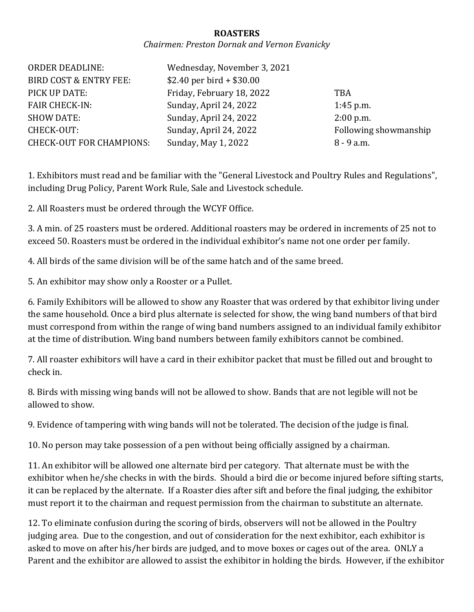## **ROASTERS**

## *Chairmen: Preston Dornak and Vernon Evanicky*

| <b>ORDER DEADLINE:</b>            | Wednesday, November 3, 2021 |                       |
|-----------------------------------|-----------------------------|-----------------------|
| <b>BIRD COST &amp; ENTRY FEE:</b> | $$2.40$ per bird + \$30.00  |                       |
| PICK UP DATE:                     | Friday, February 18, 2022   | <b>TBA</b>            |
| <b>FAIR CHECK-IN:</b>             | Sunday, April 24, 2022      | $1:45$ p.m.           |
| <b>SHOW DATE:</b>                 | Sunday, April 24, 2022      | $2:00$ p.m.           |
| CHECK-OUT:                        | Sunday, April 24, 2022      | Following showmanship |
| <b>CHECK-OUT FOR CHAMPIONS:</b>   | Sunday, May 1, 2022         | $8 - 9$ a.m.          |

1. Exhibitors must read and be familiar with the "General Livestock and Poultry Rules and Regulations", including Drug Policy, Parent Work Rule, Sale and Livestock schedule.

2. All Roasters must be ordered through the WCYF Office.

3. A min. of 25 roasters must be ordered. Additional roasters may be ordered in increments of 25 not to exceed 50. Roasters must be ordered in the individual exhibitor's name not one order per family.

4. All birds of the same division will be of the same hatch and of the same breed.

5. An exhibitor may show only a Rooster or a Pullet.

6. Family Exhibitors will be allowed to show any Roaster that was ordered by that exhibitor living under the same household. Once a bird plus alternate is selected for show, the wing band numbers of that bird must correspond from within the range of wing band numbers assigned to an individual family exhibitor at the time of distribution. Wing band numbers between family exhibitors cannot be combined.

7. All roaster exhibitors will have a card in their exhibitor packet that must be filled out and brought to check in.

8. Birds with missing wing bands will not be allowed to show. Bands that are not legible will not be allowed to show.

9. Evidence of tampering with wing bands will not be tolerated. The decision of the judge is final.

10. No person may take possession of a pen without being officially assigned by a chairman.

11. An exhibitor will be allowed one alternate bird per category. That alternate must be with the exhibitor when he/she checks in with the birds. Should a bird die or become injured before sifting starts, it can be replaced by the alternate. If a Roaster dies after sift and before the final judging, the exhibitor must report it to the chairman and request permission from the chairman to substitute an alternate.

12. To eliminate confusion during the scoring of birds, observers will not be allowed in the Poultry judging area. Due to the congestion, and out of consideration for the next exhibitor, each exhibitor is asked to move on after his/her birds are judged, and to move boxes or cages out of the area. ONLY a Parent and the exhibitor are allowed to assist the exhibitor in holding the birds. However, if the exhibitor